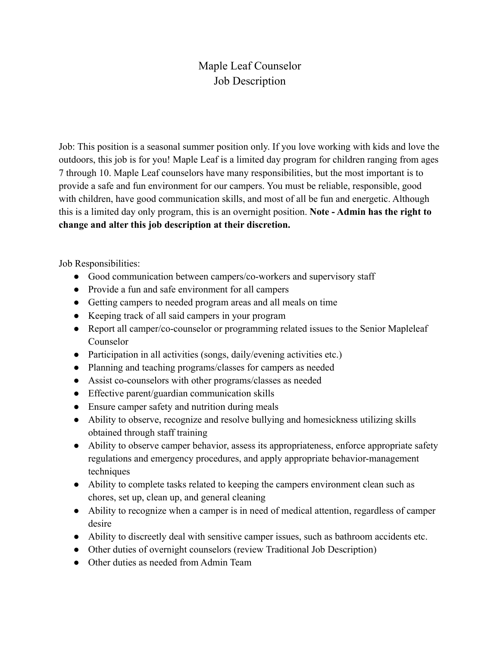## Maple Leaf Counselor Job Description

Job: This position is a seasonal summer position only. If you love working with kids and love the outdoors, this job is for you! Maple Leaf is a limited day program for children ranging from ages 7 through 10. Maple Leaf counselors have many responsibilities, but the most important is to provide a safe and fun environment for our campers. You must be reliable, responsible, good with children, have good communication skills, and most of all be fun and energetic. Although this is a limited day only program, this is an overnight position. **Note - Admin has the right to change and alter this job description at their discretion.**

Job Responsibilities:

- Good communication between campers/co-workers and supervisory staff
- Provide a fun and safe environment for all campers
- Getting campers to needed program areas and all meals on time
- Keeping track of all said campers in your program
- Report all camper/co-counselor or programming related issues to the Senior Mapleleaf Counselor
- Participation in all activities (songs, daily/evening activities etc.)
- Planning and teaching programs/classes for campers as needed
- Assist co-counselors with other programs/classes as needed
- Effective parent/guardian communication skills
- Ensure camper safety and nutrition during meals
- Ability to observe, recognize and resolve bullying and homesickness utilizing skills obtained through staff training
- Ability to observe camper behavior, assess its appropriateness, enforce appropriate safety regulations and emergency procedures, and apply appropriate behavior-management techniques
- Ability to complete tasks related to keeping the campers environment clean such as chores, set up, clean up, and general cleaning
- Ability to recognize when a camper is in need of medical attention, regardless of camper desire
- Ability to discreetly deal with sensitive camper issues, such as bathroom accidents etc.
- Other duties of overnight counselors (review Traditional Job Description)
- Other duties as needed from Admin Team